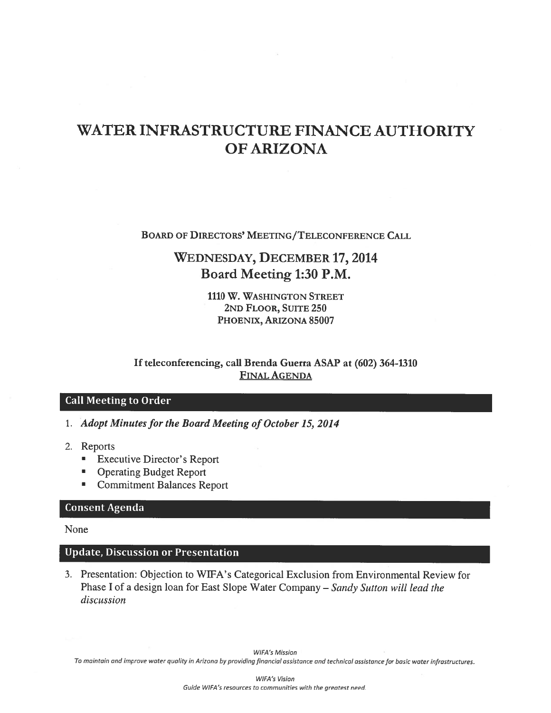# WATER INFRASTRUCTURE FINANCE AUTHORITY **OF ARIZONA**

**BOARD OF DIRECTORS' MEETING/TELECONFERENCE CALL** 

# **WEDNESDAY, DECEMBER 17, 2014** Board Meeting 1:30 P.M.

1110 W. WASHINGTON STREET 2ND FLOOR, SUITE 250 PHOENIX, ARIZONA 85007

If teleconferencing, call Brenda Guerra ASAP at (602) 364-1310 **FINAL AGENDA** 

### **Call Meeting to Order**

- 1. Adopt Minutes for the Board Meeting of October 15, 2014
- 2. Reports
	- **Executive Director's Report**
	- $\blacksquare$ **Operating Budget Report**
	- Commitment Balances Report

### **Consent Agenda**

None

### **Update, Discussion or Presentation**

3. Presentation: Objection to WIFA's Categorical Exclusion from Environmental Review for Phase I of a design loan for East Slope Water Company - Sandy Sutton will lead the discussion

**WIFA's Mission** 

To maintain and improve water quality in Arizona by providing financial assistance and technical assistance for basic water infrastructures.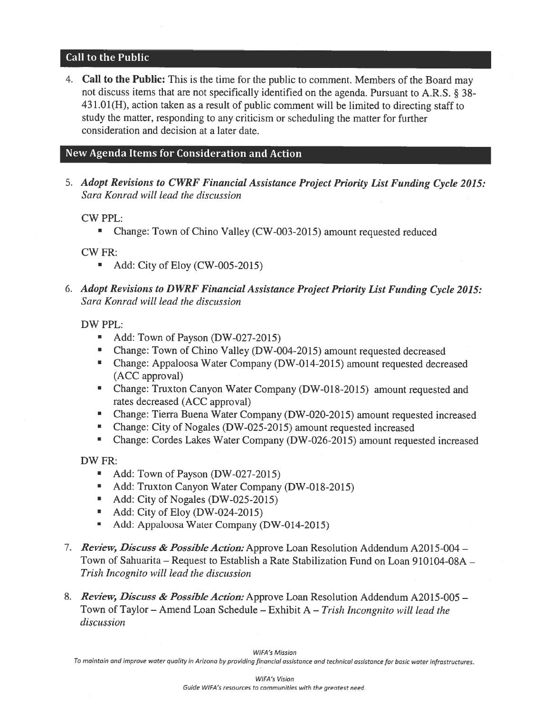### **Call to the Public**

4. Call to the Public: This is the time for the public to comment. Members of the Board may not discuss items that are not specifically identified on the agenda. Pursuant to A.R.S. § 38-431.01(H), action taken as a result of public comment will be limited to directing staff to study the matter, responding to any criticism or scheduling the matter for further consideration and decision at a later date.

### New Agenda Items for Consideration and Action

5. Adopt Revisions to CWRF Financial Assistance Project Priority List Funding Cycle 2015: Sara Konrad will lead the discussion

**CW PPL:** 

Change: Town of Chino Valley (CW-003-2015) amount requested reduced  $\blacksquare$ 

**CW FR:** 

- Add: City of Eloy (CW-005-2015)  $\blacksquare$
- 6. Adopt Revisions to DWRF Financial Assistance Project Priority List Funding Cycle 2015: Sara Konrad will lead the discussion

DW PPL:

- Add: Town of Payson (DW-027-2015)
- Change: Town of Chino Valley (DW-004-2015) amount requested decreased
- Change: Appaloosa Water Company (DW-014-2015) amount requested decreased (ACC approval)
- Change: Truxton Canyon Water Company (DW-018-2015) amount requested and rates decreased (ACC approval)
- Change: Tierra Buena Water Company (DW-020-2015) amount requested increased
- Change: City of Nogales (DW-025-2015) amount requested increased
- Change: Cordes Lakes Water Company (DW-026-2015) amount requested increased

DW FR:

- Add: Town of Payson (DW-027-2015)  $\blacksquare$
- Add: Truxton Canyon Water Company (DW-018-2015)
- Add: City of Nogales (DW-025-2015)
- Add: City of Eloy (DW-024-2015)
- Add: Appaloosa Water Company (DW-014-2015)  $\blacksquare$
- 7. *Review, Discuss & Possible Action:* Approve Loan Resolution Addendum A2015-004 Town of Sahuarita – Request to Establish a Rate Stabilization Fund on Loan 910104-08A – Trish Incognito will lead the discussion
- 8. Review, Discuss & Possible Action: Approve Loan Resolution Addendum A2015-005 -Town of Taylor – Amend Loan Schedule – Exhibit A – Trish Incongnito will lead the discussion

To maintain and improve water quality in Arizona by providing financial assistance and technical assistance for basic water infrastructures.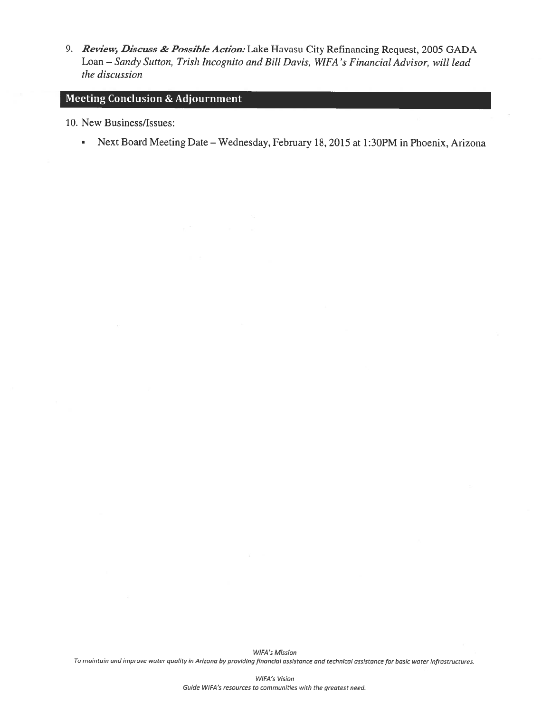9. Review, Discuss & Possible Action: Lake Havasu City Refinancing Request, 2005 GADA Loan - Sandy Sutton, Trish Incognito and Bill Davis, WIFA's Financial Advisor, will lead the discussion

# **Meeting Conclusion & Adjournment**

10. New Business/Issues:

• Next Board Meeting Date - Wednesday, February 18, 2015 at 1:30PM in Phoenix, Arizona

**WIFA's Mission** To maintain and improve water quality in Arizona by providing financial assistance and technical assistance for basic water infrastructures.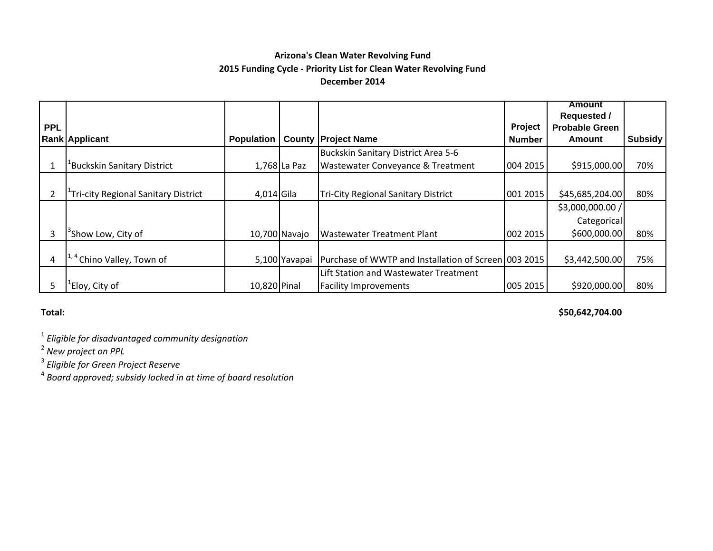## **Arizona's Clean Water Revolving Fund 2015 Funding Cycle ‐ Priority List for Clean Water Revolving Fund December 2014**

|            |                                                  |                   |               |                                                      |               | <b>Amount</b>         |                |
|------------|--------------------------------------------------|-------------------|---------------|------------------------------------------------------|---------------|-----------------------|----------------|
|            |                                                  |                   |               |                                                      |               | <b>Requested /</b>    |                |
| <b>PPL</b> |                                                  |                   |               |                                                      | Project       | <b>Probable Green</b> |                |
|            | <b>Rank Applicant</b>                            | <b>Population</b> |               | <b>County Project Name</b>                           | <b>Number</b> | <b>Amount</b>         | <b>Subsidy</b> |
|            |                                                  |                   |               | Buckskin Sanitary District Area 5-6                  |               |                       |                |
|            | <sup>-</sup> Buckskin Sanitary District          |                   | 1,768 La Paz  | Wastewater Conveyance & Treatment                    | 004 2015      | \$915,000.00          | 70%            |
|            |                                                  |                   |               |                                                      |               |                       |                |
|            | <sup>1</sup> Tri-city Regional Sanitary District | 4,014 Gila        |               | <b>Tri-City Regional Sanitary District</b>           | 001 2015      | \$45,685,204.00       | 80%            |
|            |                                                  |                   |               |                                                      |               | \$3,000,000.00 /      |                |
|            |                                                  |                   |               |                                                      |               | Categorical           |                |
| 3          | <sup>3</sup> Show Low, City of                   |                   | 10,700 Navajo | <b>Wastewater Treatment Plant</b>                    | 002 2015      | \$600,000.00          | 80%            |
|            |                                                  |                   |               |                                                      |               |                       |                |
| 4          | <sup>+</sup> Chino Valley, Town of               |                   | 5,100 Yavapai | Purchase of WWTP and Installation of Screen 003 2015 |               | \$3,442,500.00        | 75%            |
|            |                                                  |                   |               | Lift Station and Wastewater Treatment                |               |                       |                |
|            | <sup>1</sup> Eloy, City of                       | 10,820 Pinal      |               | <b>Facility Improvements</b>                         | 005 2015      | \$920,000.00          | 80%            |

#### **Total:**

**\$50,642,704.00**

1 *Eligible for disadvantaged community designation*

2 *New project on PPL*

3 *Eligible for Green Project Reserve*

4 *Board approved; subsidy locked in at time of board resolution*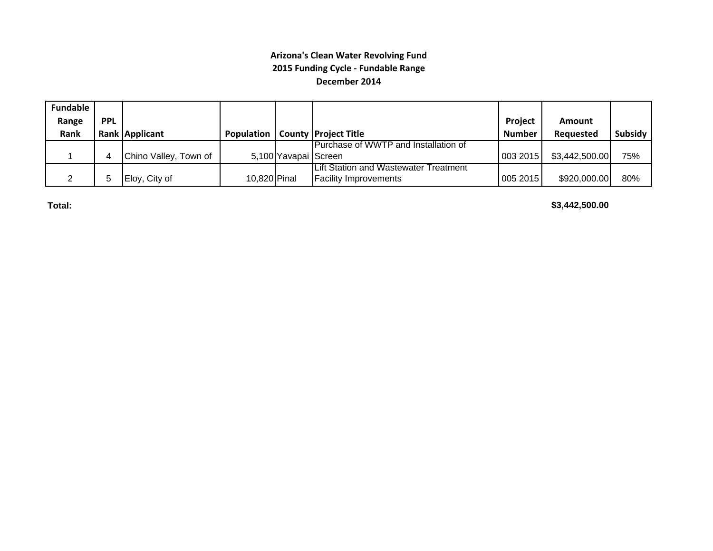### **Arizona's Clean Water Revolving Fund 2015 Funding Cycle ‐ Fundable Range December 2014**

| <b>Fundable</b> |            |                       |                   |                      |                                       |                |                |         |
|-----------------|------------|-----------------------|-------------------|----------------------|---------------------------------------|----------------|----------------|---------|
| Range           | <b>PPL</b> |                       |                   |                      |                                       | <b>Project</b> | Amount         |         |
| Rank            |            | Rank Applicant        | <b>Population</b> |                      | <b>County Project Title</b>           | <b>Number</b>  | Reauested      | Subsidy |
|                 |            |                       |                   |                      | Purchase of WWTP and Installation of  |                |                |         |
|                 |            | Chino Valley, Town of |                   | 5,100 Yavapai Screen |                                       | 0032015        | \$3,442,500.00 | 75%     |
|                 |            |                       |                   |                      | Lift Station and Wastewater Treatment |                |                |         |
|                 |            | Eloy, City of         | 10,820 Pinal      |                      | <b>Facility Improvements</b>          | 005 2015       | \$920,000.00   | 80%     |

**Total:**

**\$3,442,500.00**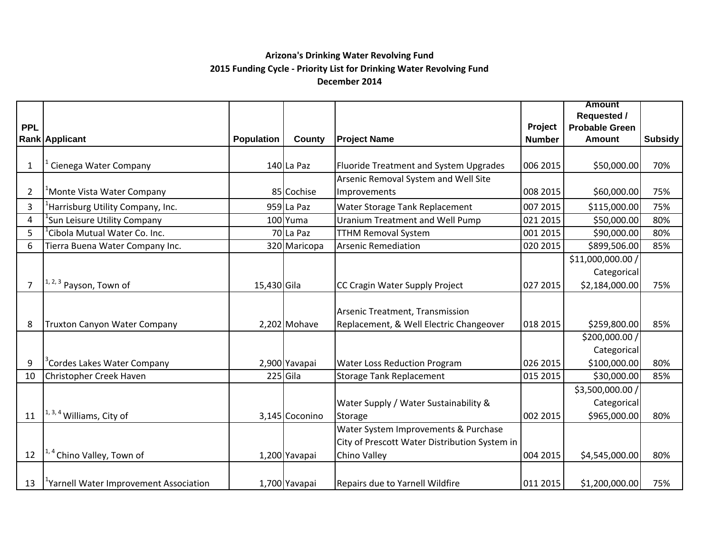### **Arizona's Drinking Water Revolving Fund 2015 Funding Cycle ‐ Priority List for Drinking Water Revolving Fund December 2014**

|                |                                                    |                   |                |                                               |               | <b>Amount</b>         |                |
|----------------|----------------------------------------------------|-------------------|----------------|-----------------------------------------------|---------------|-----------------------|----------------|
|                |                                                    |                   |                |                                               |               | <b>Requested /</b>    |                |
| <b>PPL</b>     |                                                    |                   |                |                                               | Project       | <b>Probable Green</b> |                |
|                | Rank Applicant                                     | <b>Population</b> | County         | <b>Project Name</b>                           | <b>Number</b> | <b>Amount</b>         | <b>Subsidy</b> |
|                |                                                    |                   |                |                                               |               |                       |                |
| $\mathbf{1}$   | Cienega Water Company                              |                   | 140 La Paz     | Fluoride Treatment and System Upgrades        | 006 2015      | \$50,000.00           | 70%            |
|                |                                                    |                   |                | Arsenic Removal System and Well Site          |               |                       |                |
| $\overline{2}$ | <sup>1</sup> Monte Vista Water Company             |                   | 85 Cochise     | Improvements                                  | 008 2015      | \$60,000.00           | 75%            |
| 3              | Harrisburg Utility Company, Inc.                   |                   | 959 La Paz     | Water Storage Tank Replacement                | 007 2015      | \$115,000.00          | 75%            |
| 4              | Sun Leisure Utility Company                        |                   | 100 Yuma       | Uranium Treatment and Well Pump               | 021 2015      | \$50,000.00           | 80%            |
| 5              | Cibola Mutual Water Co. Inc.                       |                   | 70 La Paz      | <b>TTHM Removal System</b>                    | 001 2015      | \$90,000.00           | 80%            |
| 6              | Tierra Buena Water Company Inc.                    |                   | 320 Maricopa   | <b>Arsenic Remediation</b>                    | 020 2015      | \$899,506.00          | 85%            |
|                |                                                    |                   |                |                                               |               | \$11,000,000.00 /     |                |
|                |                                                    |                   |                |                                               |               | Categorical           |                |
| $\overline{7}$ | <sup>1, 2, 3</sup> Payson, Town of                 | 15,430 Gila       |                | CC Cragin Water Supply Project                | 027 2015      | \$2,184,000.00        | 75%            |
|                |                                                    |                   |                |                                               |               |                       |                |
|                |                                                    |                   |                | Arsenic Treatment, Transmission               |               |                       |                |
| 8              | Truxton Canyon Water Company                       |                   | 2,202 Mohave   | Replacement, & Well Electric Changeover       | 018 2015      | \$259,800.00          | 85%            |
|                |                                                    |                   |                |                                               |               | \$200,000.00 /        |                |
|                |                                                    |                   |                |                                               |               | Categorical           |                |
| 9              | <sup>3</sup> Cordes Lakes Water Company            |                   | 2,900 Yavapai  | Water Loss Reduction Program                  | 026 2015      | \$100,000.00          | 80%            |
| 10             | Christopher Creek Haven                            |                   | $225$ Gila     | <b>Storage Tank Replacement</b>               | 015 2015      | \$30,000.00           | 85%            |
|                |                                                    |                   |                |                                               |               | \$3,500,000.00 /      |                |
|                |                                                    |                   |                | Water Supply / Water Sustainability &         |               | Categorical           |                |
| 11             | $1, 3, 4$ Williams, City of                        |                   | 3,145 Coconino | Storage                                       | 002 2015      | \$965,000.00          | 80%            |
|                |                                                    |                   |                | Water System Improvements & Purchase          |               |                       |                |
|                |                                                    |                   |                | City of Prescott Water Distribution System in |               |                       |                |
| 12             | <sup>1,4</sup> Chino Valley, Town of               |                   | 1,200 Yavapai  | Chino Valley                                  | 004 2015      | \$4,545,000.00        | 80%            |
|                |                                                    |                   |                |                                               |               |                       |                |
| 13             | <sup>1</sup> Yarnell Water Improvement Association |                   | 1,700 Yavapai  | Repairs due to Yarnell Wildfire               | 011 2015      | \$1,200,000.00        | 75%            |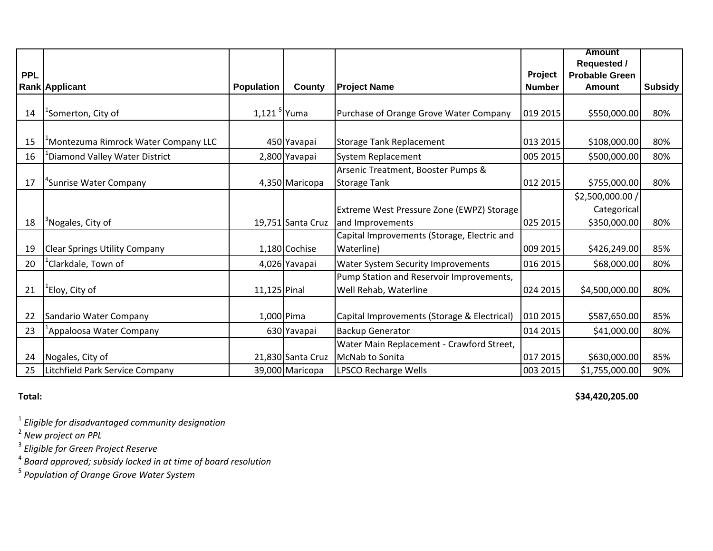|            |                                                  |                           |                   |                                             |               | <b>Amount</b>         |                |
|------------|--------------------------------------------------|---------------------------|-------------------|---------------------------------------------|---------------|-----------------------|----------------|
|            |                                                  |                           |                   |                                             |               | <b>Requested /</b>    |                |
| <b>PPL</b> |                                                  |                           |                   |                                             | Project       | <b>Probable Green</b> |                |
|            | Rank Applicant                                   | <b>Population</b>         | County            | <b>Project Name</b>                         | <b>Number</b> | <b>Amount</b>         | <b>Subsidy</b> |
|            |                                                  |                           |                   |                                             |               |                       |                |
| 14         | <sup>1</sup> Somerton, City of                   | $1,121$ <sup>5</sup> Yuma |                   | Purchase of Orange Grove Water Company      | 019 2015      | \$550,000.00          | 80%            |
|            |                                                  |                           |                   |                                             |               |                       |                |
| 15         | <sup>1</sup> Montezuma Rimrock Water Company LLC |                           | 450 Yavapai       | Storage Tank Replacement                    | 013 2015      | \$108,000.00          | 80%            |
| 16         | <sup>1</sup> Diamond Valley Water District       |                           | 2,800 Yavapai     | System Replacement                          | 005 2015      | \$500,000.00          | 80%            |
|            |                                                  |                           |                   | Arsenic Treatment, Booster Pumps &          |               |                       |                |
| 17         | <sup>4</sup> Sunrise Water Company               |                           | 4,350 Maricopa    | <b>Storage Tank</b>                         | 012 2015      | \$755,000.00          | 80%            |
|            |                                                  |                           |                   |                                             |               | \$2,500,000.00 /      |                |
|            |                                                  |                           |                   | Extreme West Pressure Zone (EWPZ) Storage   |               | Categorical           |                |
| 18         | <sup>3</sup> Nogales, City of                    |                           | 19,751 Santa Cruz | and Improvements                            | 025 2015      | \$350,000.00          | 80%            |
|            |                                                  |                           |                   | Capital Improvements (Storage, Electric and |               |                       |                |
| 19         | <b>Clear Springs Utility Company</b>             |                           | 1,180 Cochise     | Waterline)                                  | 009 2015      | \$426,249.00          | 85%            |
| 20         | <sup>1</sup> Clarkdale, Town of                  |                           | 4,026 Yavapai     | <b>Water System Security Improvements</b>   | 016 2015      | \$68,000.00           | 80%            |
|            |                                                  |                           |                   | Pump Station and Reservoir Improvements,    |               |                       |                |
| 21         | <sup>'</sup> Eloy, City of                       | $11,125$ Pinal            |                   | Well Rehab, Waterline                       | 024 2015      | \$4,500,000.00        | 80%            |
|            |                                                  |                           |                   |                                             |               |                       |                |
| 22         | Sandario Water Company                           |                           | 1,000 Pima        | Capital Improvements (Storage & Electrical) | 010 2015      | \$587,650.00          | 85%            |
| 23         | <sup>1</sup> Appaloosa Water Company             |                           | 630 Yavapai       | <b>Backup Generator</b>                     | 014 2015      | \$41,000.00           | 80%            |
|            |                                                  |                           |                   | Water Main Replacement - Crawford Street,   |               |                       |                |
| 24         | Nogales, City of                                 |                           | 21,830 Santa Cruz | McNab to Sonita                             | 017 2015      | \$630,000.00          | 85%            |
| 25         | Litchfield Park Service Company                  |                           | 39,000 Maricopa   | LPSCO Recharge Wells                        | 003 2015      | \$1,755,000.00        | 90%            |

**Total:**

**\$34,420,205.00**

1 *Eligible for disadvantaged community designation* 2 *New project on PPL*

3 *Eligible for Green Project Reserve* 4 *Board approved; subsidy locked in at time of board resolution*

5 *Population of Orange Grove Water System*